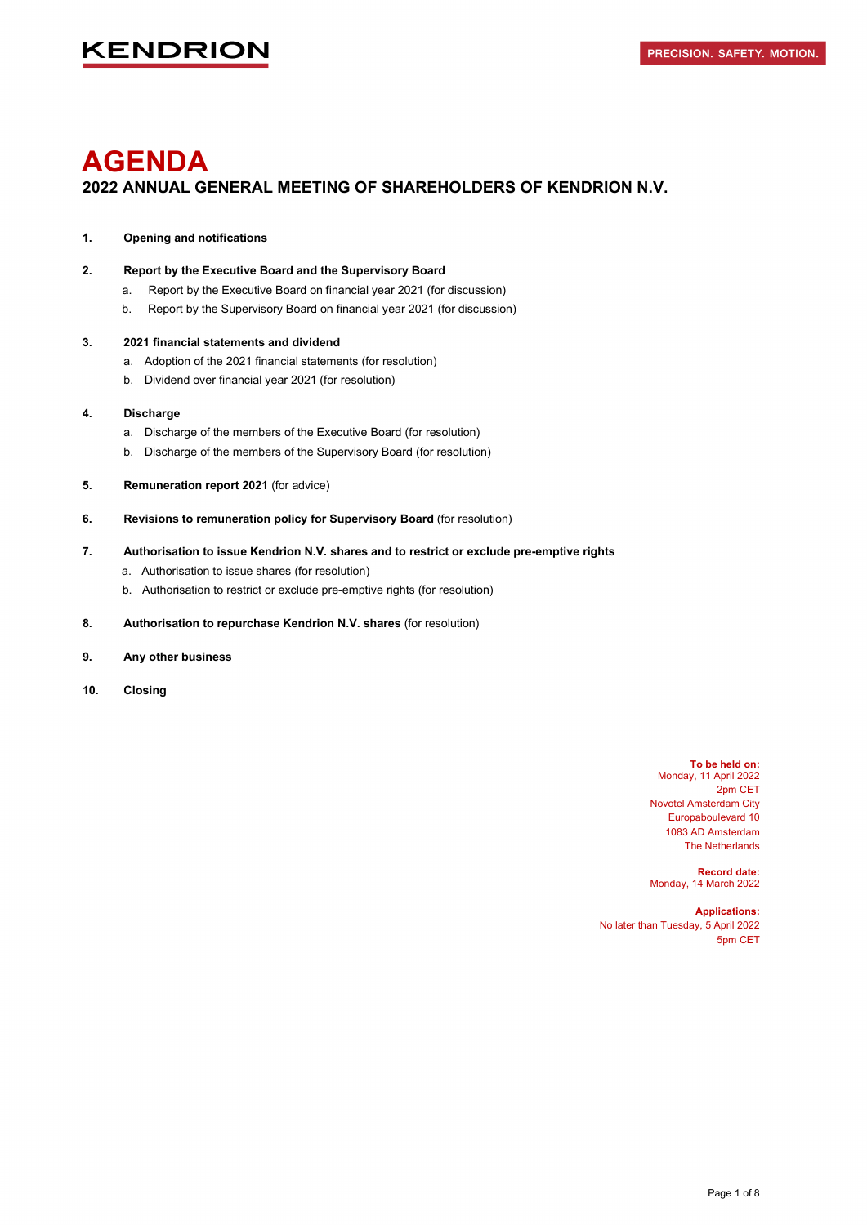# **AGENDA 2022 ANNUAL GENERAL MEETING OF SHAREHOLDERS OF KENDRION N.V.**

#### **1. Opening and notifications**

**2. Report by the Executive Board and the Supervisory Board** 

- a. Report by the Executive Board on financial year 2021 (for discussion)
- b. Report by the Supervisory Board on financial year 2021 (for discussion)

#### **3. 2021 financial statements and dividend**

- a. Adoption of the 2021 financial statements (for resolution)
- b. Dividend over financial year 2021 (for resolution)

#### **4. Discharge**

- a. Discharge of the members of the Executive Board (for resolution)
- b. Discharge of the members of the Supervisory Board (for resolution)
- **5. Remuneration report 2021** (for advice)
- **6. Revisions to remuneration policy for Supervisory Board** (for resolution)

#### **7. Authorisation to issue Kendrion N.V. shares and to restrict or exclude pre-emptive rights**

- a. Authorisation to issue shares (for resolution)
- b. Authorisation to restrict or exclude pre-emptive rights (for resolution)
- **8. Authorisation to repurchase Kendrion N.V. shares** (for resolution)
- **9. Any other business**
- **10. Closing**

**To be held on:** Monday, 11 April 2022 2pm CET Novotel Amsterdam City Europaboulevard 10 1083 AD Amsterdam The Netherlands

**Record date:**  Monday, 14 March 2022

**Applications:** No later than Tuesday, 5 April 2022 5pm CET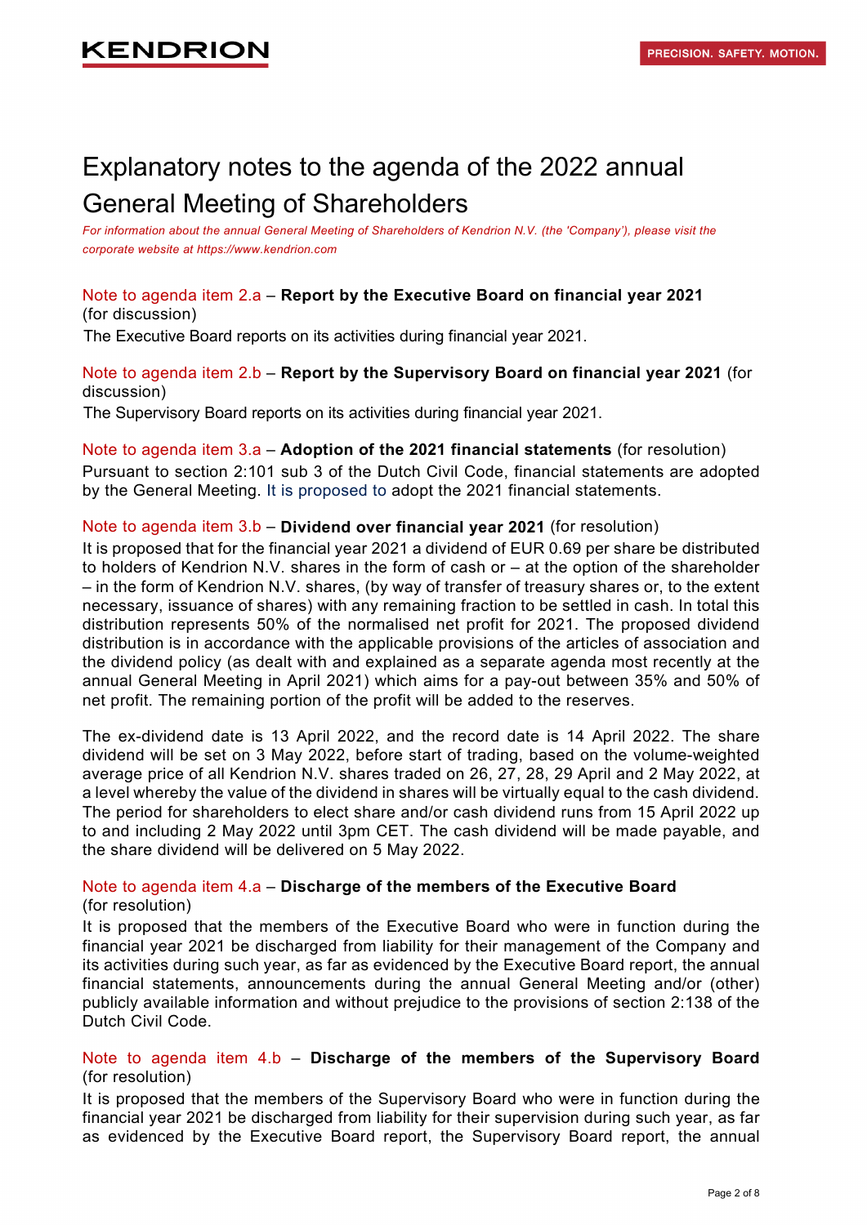# Explanatory notes to the agenda of the 2022 annual General Meeting of Shareholders

For information about the annual General Meeting of Shareholders of Kendrion N.V. (the 'Company'), please visit the *corporate website at https://www.kendrion.com* 

### Note to agenda item 2.a – **Report by the Executive Board on financial year 2021** (for discussion)

The Executive Board reports on its activities during financial year 2021.

### Note to agenda item 2.b – **Report by the Supervisory Board on financial year 2021** (for discussion)

The Supervisory Board reports on its activities during financial year 2021.

# Note to agenda item 3.a – **Adoption of the 2021 financial statements** (for resolution)

Pursuant to section 2:101 sub 3 of the Dutch Civil Code, financial statements are adopted by the General Meeting. It is proposed to adopt the 2021 financial statements.

### Note to agenda item 3.b – **Dividend over financial year 2021** (for resolution)

It is proposed that for the financial year 2021 a dividend of EUR 0.69 per share be distributed to holders of Kendrion N.V. shares in the form of cash or – at the option of the shareholder – in the form of Kendrion N.V. shares, (by way of transfer of treasury shares or, to the extent necessary, issuance of shares) with any remaining fraction to be settled in cash. In total this distribution represents 50% of the normalised net profit for 2021. The proposed dividend distribution is in accordance with the applicable provisions of the articles of association and the dividend policy (as dealt with and explained as a separate agenda most recently at the annual General Meeting in April 2021) which aims for a pay-out between 35% and 50% of net profit. The remaining portion of the profit will be added to the reserves.

The ex-dividend date is 13 April 2022, and the record date is 14 April 2022. The share dividend will be set on 3 May 2022, before start of trading, based on the volume-weighted average price of all Kendrion N.V. shares traded on 26, 27, 28, 29 April and 2 May 2022, at a level whereby the value of the dividend in shares will be virtually equal to the cash dividend. The period for shareholders to elect share and/or cash dividend runs from 15 April 2022 up to and including 2 May 2022 until 3pm CET. The cash dividend will be made payable, and the share dividend will be delivered on 5 May 2022.

# Note to agenda item 4.a – **Discharge of the members of the Executive Board**

#### (for resolution)

It is proposed that the members of the Executive Board who were in function during the financial year 2021 be discharged from liability for their management of the Company and its activities during such year, as far as evidenced by the Executive Board report, the annual financial statements, announcements during the annual General Meeting and/or (other) publicly available information and without prejudice to the provisions of section 2:138 of the Dutch Civil Code.

### Note to agenda item 4.b – **Discharge of the members of the Supervisory Board** (for resolution)

It is proposed that the members of the Supervisory Board who were in function during the financial year 2021 be discharged from liability for their supervision during such year, as far as evidenced by the Executive Board report, the Supervisory Board report, the annual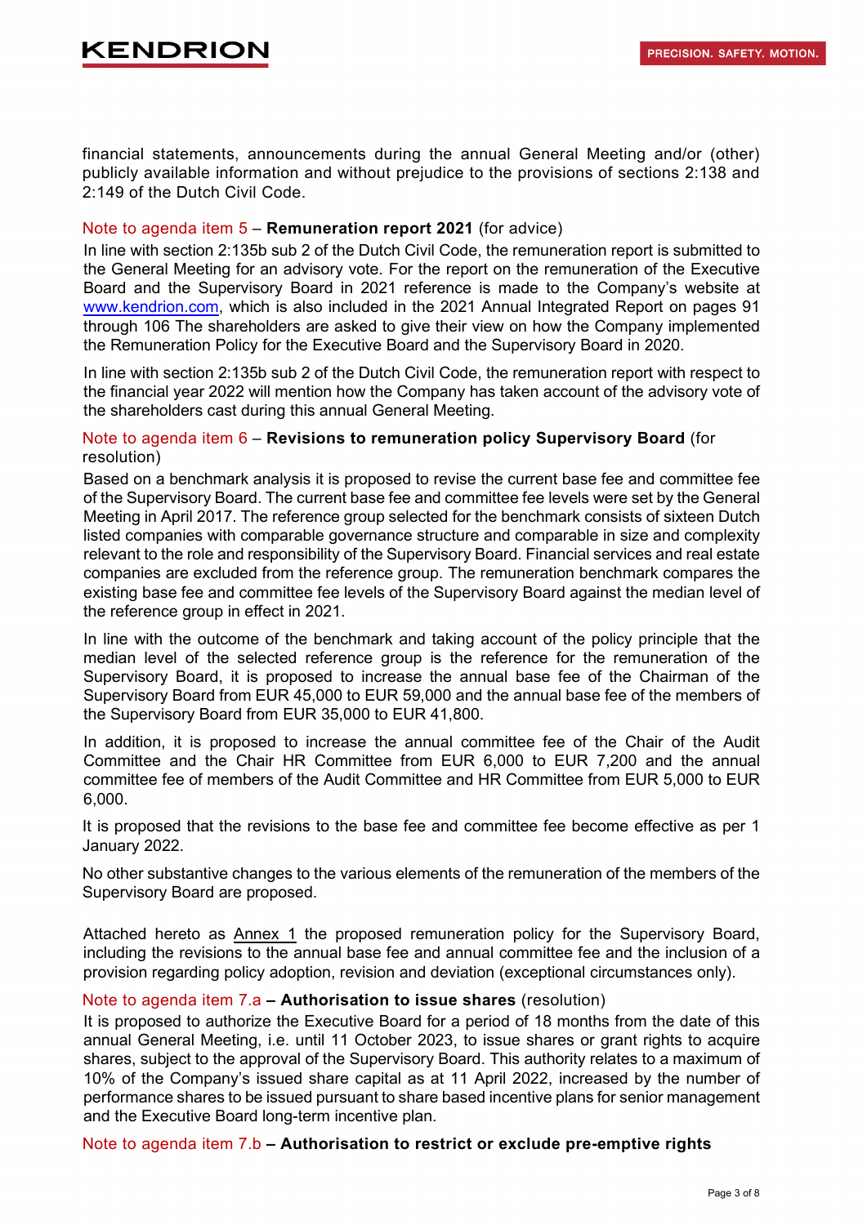financial statements, announcements during the annual General Meeting and/or (other) publicly available information and without prejudice to the provisions of sections 2:138 and 2:149 of the Dutch Civil Code.

#### Note to agenda item 5 – **Remuneration report 2021** (for advice)

In line with section 2:135b sub 2 of the Dutch Civil Code, the remuneration report is submitted to the General Meeting for an advisory vote. For the report on the remuneration of the Executive Board and the Supervisory Board in 2021 reference is made to the Company's website at [www.kendrion.com,](http://www.kendrion.com/) which is also included in the 2021 Annual Integrated Report on pages 91 through 106 The shareholders are asked to give their view on how the Company implemented the Remuneration Policy for the Executive Board and the Supervisory Board in 2020.

In line with section 2:135b sub 2 of the Dutch Civil Code, the remuneration report with respect to the financial year 2022 will mention how the Company has taken account of the advisory vote of the shareholders cast during this annual General Meeting.

### Note to agenda item 6 – **Revisions to remuneration policy Supervisory Board** (for resolution)

Based on a benchmark analysis it is proposed to revise the current base fee and committee fee of the Supervisory Board. The current base fee and committee fee levels were set by the General Meeting in April 2017. The reference group selected for the benchmark consists of sixteen Dutch listed companies with comparable governance structure and comparable in size and complexity relevant to the role and responsibility of the Supervisory Board. Financial services and real estate companies are excluded from the reference group. The remuneration benchmark compares the existing base fee and committee fee levels of the Supervisory Board against the median level of the reference group in effect in 2021.

In line with the outcome of the benchmark and taking account of the policy principle that the median level of the selected reference group is the reference for the remuneration of the Supervisory Board, it is proposed to increase the annual base fee of the Chairman of the Supervisory Board from EUR 45,000 to EUR 59,000 and the annual base fee of the members of the Supervisory Board from EUR 35,000 to EUR 41,800.

In addition, it is proposed to increase the annual committee fee of the Chair of the Audit Committee and the Chair HR Committee from EUR 6,000 to EUR 7,200 and the annual committee fee of members of the Audit Committee and HR Committee from EUR 5,000 to EUR 6,000.

It is proposed that the revisions to the base fee and committee fee become effective as per 1 January 2022.

No other substantive changes to the various elements of the remuneration of the members of the Supervisory Board are proposed.

Attached hereto as Annex 1 the proposed remuneration policy for the Supervisory Board. including the revisions to the annual base fee and annual committee fee and the inclusion of a provision regarding policy adoption, revision and deviation (exceptional circumstances only).

#### Note to agenda item 7.a **– Authorisation to issue shares** (resolution)

It is proposed to authorize the Executive Board for a period of 18 months from the date of this annual General Meeting, i.e. until 11 October 2023, to issue shares or grant rights to acquire shares, subject to the approval of the Supervisory Board. This authority relates to a maximum of 10% of the Company's issued share capital as at 11 April 2022, increased by the number of performance shares to be issued pursuant to share based incentive plans for senior management and the Executive Board long-term incentive plan.

Note to agenda item 7.b **– Authorisation to restrict or exclude pre-emptive rights**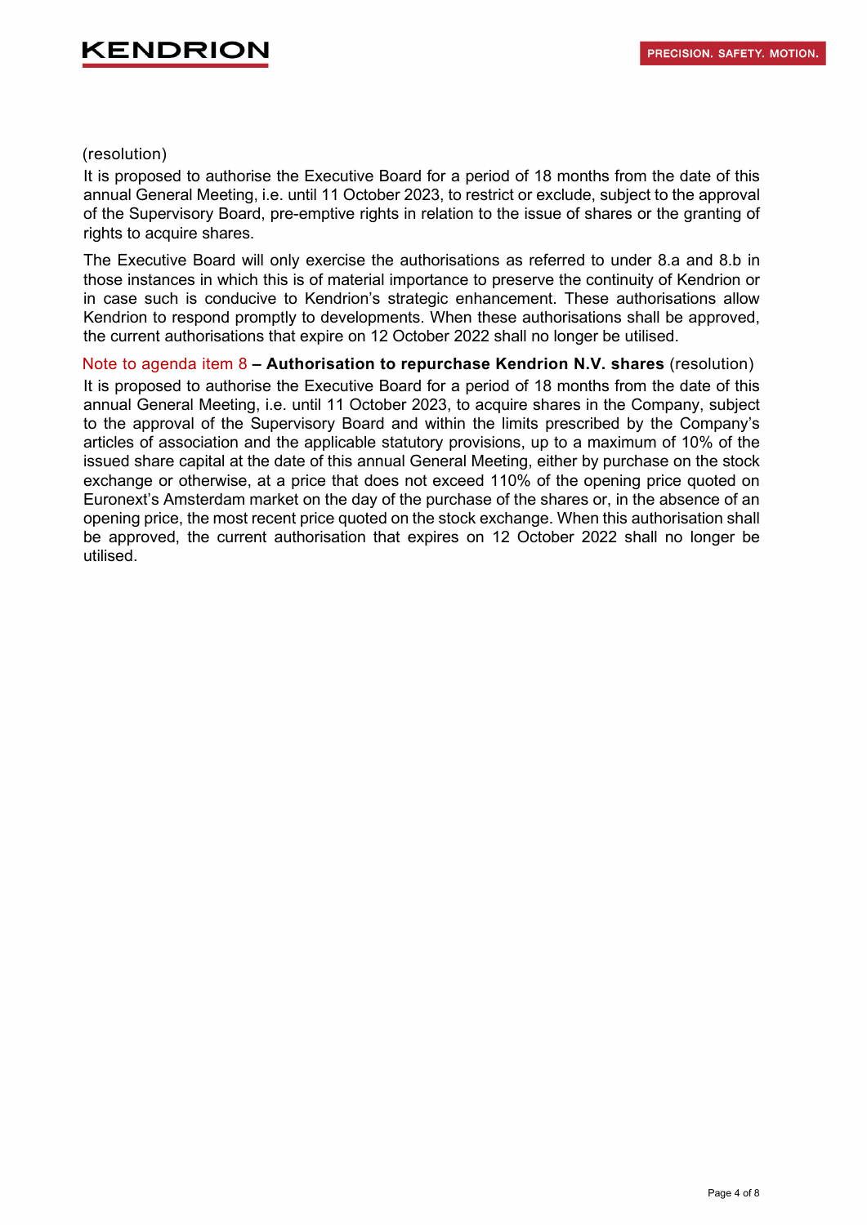#### (resolution)

It is proposed to authorise the Executive Board for a period of 18 months from the date of this annual General Meeting, i.e. until 11 October 2023, to restrict or exclude, subject to the approval of the Supervisory Board, pre-emptive rights in relation to the issue of shares or the granting of rights to acquire shares.

The Executive Board will only exercise the authorisations as referred to under 8.a and 8.b in those instances in which this is of material importance to preserve the continuity of Kendrion or in case such is conducive to Kendrion's strategic enhancement. These authorisations allow Kendrion to respond promptly to developments. When these authorisations shall be approved, the current authorisations that expire on 12 October 2022 shall no longer be utilised.

Note to agenda item 8 **– Authorisation to repurchase Kendrion N.V. shares** (resolution)

It is proposed to authorise the Executive Board for a period of 18 months from the date of this annual General Meeting, i.e. until 11 October 2023, to acquire shares in the Company, subject to the approval of the Supervisory Board and within the limits prescribed by the Company's articles of association and the applicable statutory provisions, up to a maximum of 10% of the issued share capital at the date of this annual General Meeting, either by purchase on the stock exchange or otherwise, at a price that does not exceed 110% of the opening price quoted on Euronext's Amsterdam market on the day of the purchase of the shares or, in the absence of an opening price, the most recent price quoted on the stock exchange. When this authorisation shall be approved, the current authorisation that expires on 12 October 2022 shall no longer be utilised.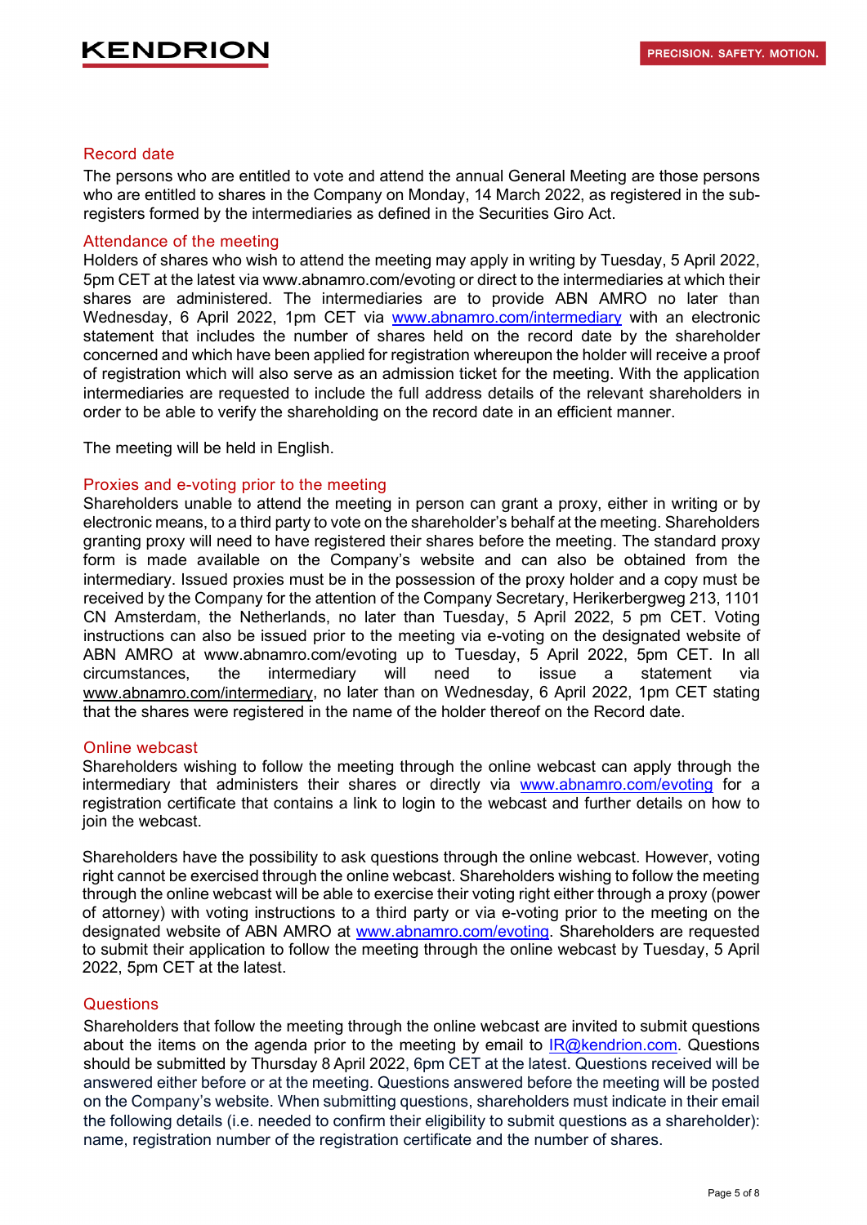#### Record date

The persons who are entitled to vote and attend the annual General Meeting are those persons who are entitled to shares in the Company on Monday, 14 March 2022, as registered in the subregisters formed by the intermediaries as defined in the Securities Giro Act.

#### Attendance of the meeting

Holders of shares who wish to attend the meeting may apply in writing by Tuesday, 5 April 2022, 5pm CET at the latest via www.abnamro.com/evoting or direct to the intermediaries at which their shares are administered. The intermediaries are to provide ABN AMRO no later than Wednesday, 6 April 2022, 1pm CET via [www.abnamro.com/intermediary](http://www.abnamro.com/intermediary) with an electronic statement that includes the number of shares held on the record date by the shareholder concerned and which have been applied for registration whereupon the holder will receive a proof of registration which will also serve as an admission ticket for the meeting. With the application intermediaries are requested to include the full address details of the relevant shareholders in order to be able to verify the shareholding on the record date in an efficient manner.

The meeting will be held in English.

#### Proxies and e-voting prior to the meeting

Shareholders unable to attend the meeting in person can grant a proxy, either in writing or by electronic means, to a third party to vote on the shareholder's behalf at the meeting. Shareholders granting proxy will need to have registered their shares before the meeting. The standard proxy form is made available on the Company's website and can also be obtained from the intermediary. Issued proxies must be in the possession of the proxy holder and a copy must be received by the Company for the attention of the Company Secretary, Herikerbergweg 213, 1101 CN Amsterdam, the Netherlands, no later than Tuesday, 5 April 2022, 5 pm CET. Voting instructions can also be issued prior to the meeting via e-voting on the designated website of ABN AMRO at www.abnamro.com/evoting up to Tuesday, 5 April 2022, 5pm CET. In all circumstances, the intermediary will need to issue a statement via [www.abnamro.com/intermediary,](http://www.abnamro.com/intermediary) no later than on Wednesday, 6 April 2022, 1pm CET stating that the shares were registered in the name of the holder thereof on the Record date.

#### Online webcast

Shareholders wishing to follow the meeting through the online webcast can apply through the intermediary that administers their shares or directly via [www.abnamro.com/evoting](http://www.abnamro.com/evoting) for a registration certificate that contains a link to login to the webcast and further details on how to join the webcast.

Shareholders have the possibility to ask questions through the online webcast. However, voting right cannot be exercised through the online webcast. Shareholders wishing to follow the meeting through the online webcast will be able to exercise their voting right either through a proxy (power of attorney) with voting instructions to a third party or via e-voting prior to the meeting on the designated website of ABN AMRO at [www.abnamro.com/evoting.](http://www.abnamro.com/evoting) Shareholders are requested to submit their application to follow the meeting through the online webcast by Tuesday, 5 April 2022, 5pm CET at the latest.

#### **Questions**

Shareholders that follow the meeting through the online webcast are invited to submit questions about the items on the agenda prior to the meeting by email to  $IR@kendrion.com$ . Questions should be submitted by Thursday 8 April 2022, 6pm CET at the latest. Questions received will be answered either before or at the meeting. Questions answered before the meeting will be posted on the Company's website. When submitting questions, shareholders must indicate in their email the following details (i.e. needed to confirm their eligibility to submit questions as a shareholder): name, registration number of the registration certificate and the number of shares.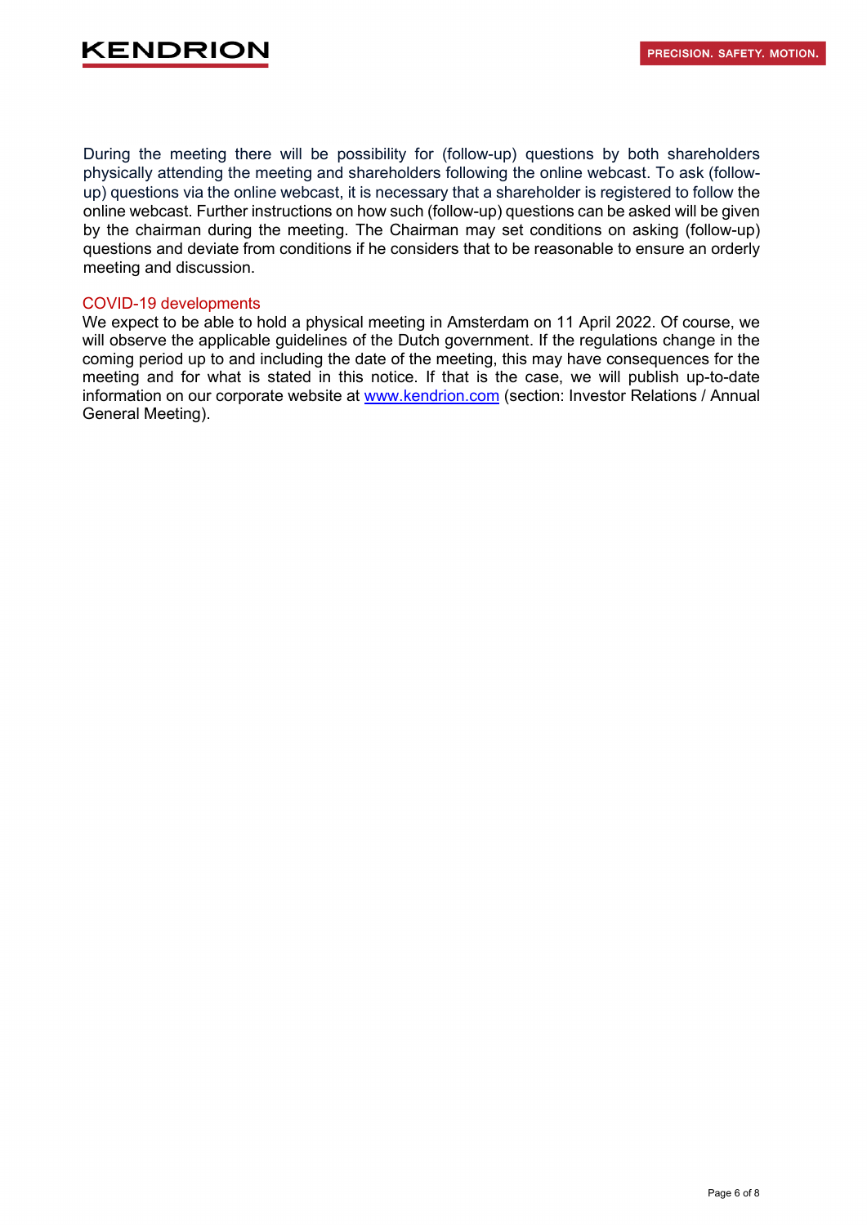During the meeting there will be possibility for (follow-up) questions by both shareholders physically attending the meeting and shareholders following the online webcast. To ask (followup) questions via the online webcast, it is necessary that a shareholder is registered to follow the online webcast. Further instructions on how such (follow-up) questions can be asked will be given by the chairman during the meeting. The Chairman may set conditions on asking (follow-up) questions and deviate from conditions if he considers that to be reasonable to ensure an orderly meeting and discussion.

#### COVID-19 developments

We expect to be able to hold a physical meeting in Amsterdam on 11 April 2022. Of course, we will observe the applicable guidelines of the Dutch government. If the regulations change in the coming period up to and including the date of the meeting, this may have consequences for the meeting and for what is stated in this notice. If that is the case, we will publish up-to-date information on our corporate website at [www.kendrion.com](http://www.kendrion.com/) (section: Investor Relations / Annual General Meeting).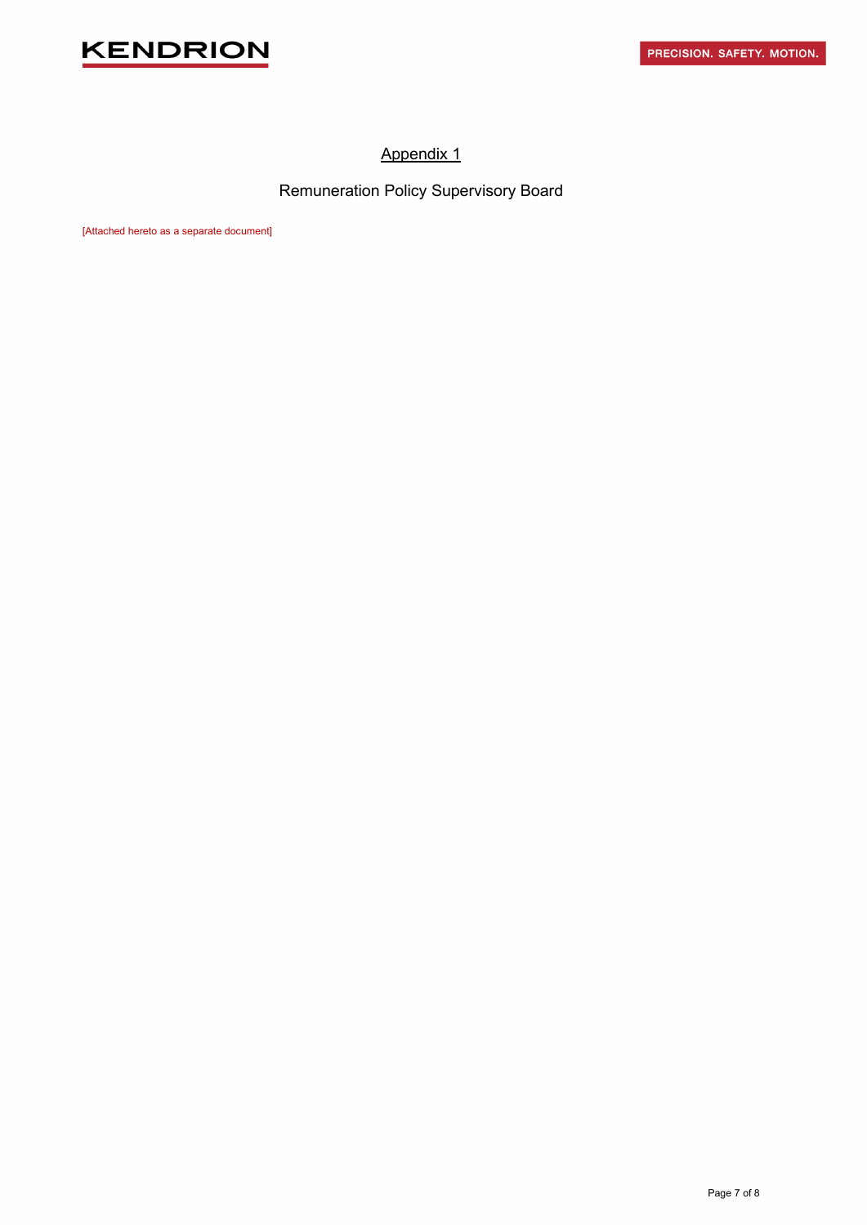

### Appendix 1

Remuneration Policy Supervisory Board

[Attached hereto as a separate document]